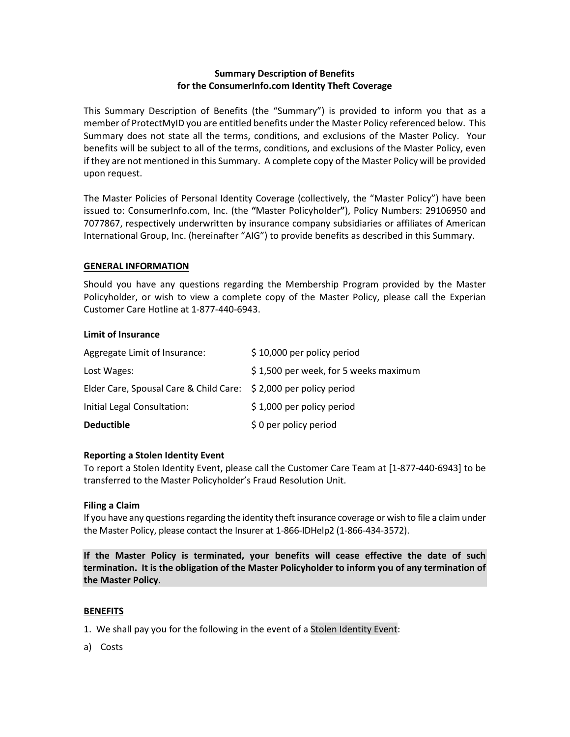# **Summary Description of Benefits for the ConsumerInfo.com Identity Theft Coverage**

This Summary Description of Benefits (the "Summary") is provided to inform you that as a member of ProtectMyID you are entitled benefits under the Master Policy referenced below. This Summary does not state all the terms, conditions, and exclusions of the Master Policy. Your benefits will be subject to all of the terms, conditions, and exclusions of the Master Policy, even if they are not mentioned in this Summary. A complete copy of the Master Policy will be provided upon request.

The Master Policies of Personal Identity Coverage (collectively, the "Master Policy") have been issued to: ConsumerInfo.com, Inc. (the **"**Master Policyholder**"**), Policy Numbers: 29106950 and 7077867, respectively underwritten by insurance company subsidiaries or affiliates of American International Group, Inc. (hereinafter "AIG") to provide benefits as described in this Summary.

### **GENERAL INFORMATION**

Should you have any questions regarding the Membership Program provided by the Master Policyholder, or wish to view a complete copy of the Master Policy, please call the Experian Customer Care Hotline at 1-877-440-6943.

### **Limit of Insurance**

| <b>Deductible</b>                                                | \$0 per policy period                 |
|------------------------------------------------------------------|---------------------------------------|
| Initial Legal Consultation:                                      | $$1,000$ per policy period            |
| Elder Care, Spousal Care & Child Care: \$2,000 per policy period |                                       |
| Lost Wages:                                                      | \$1,500 per week, for 5 weeks maximum |
| Aggregate Limit of Insurance:                                    | \$10,000 per policy period            |

## **Reporting a Stolen Identity Event**

To report a Stolen Identity Event, please call the Customer Care Team at [1-877-440-6943] to be transferred to the Master Policyholder's Fraud Resolution Unit.

#### **Filing a Claim**

If you have any questions regarding the identity theft insurance coverage or wish to file a claim under the Master Policy, please contact the Insurer at 1-866-IDHelp2 (1-866-434-3572).

**If the Master Policy is terminated, your benefits will cease effective the date of such termination. It is the obligation of the Master Policyholder to inform you of any termination of the Master Policy.**

#### **BENEFITS**

1. We shall pay you for the following in the event of a Stolen Identity Event:

a) Costs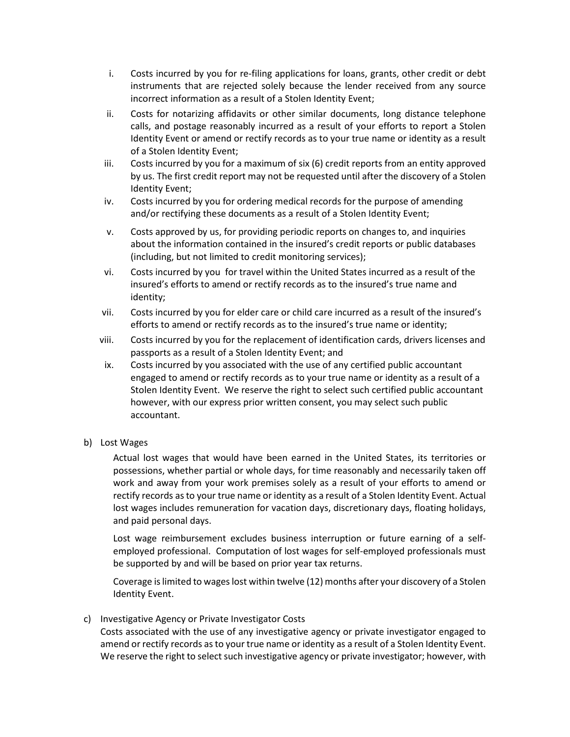- i. Costs incurred by you for re-filing applications for loans, grants, other credit or debt instruments that are rejected solely because the lender received from any source incorrect information as a result of a Stolen Identity Event;
- ii. Costs for notarizing affidavits or other similar documents, long distance telephone calls, and postage reasonably incurred as a result of your efforts to report a Stolen Identity Event or amend or rectify records as to your true name or identity as a result of a Stolen Identity Event;
- iii. Costs incurred by you for a maximum of six (6) credit reports from an entity approved by us. The first credit report may not be requested until after the discovery of a Stolen Identity Event;
- iv. Costs incurred by you for ordering medical records for the purpose of amending and/or rectifying these documents as a result of a Stolen Identity Event;
- v. Costs approved by us, for providing periodic reports on changes to, and inquiries about the information contained in the insured's credit reports or public databases (including, but not limited to credit monitoring services);
- vi. Costs incurred by you for travel within the United States incurred as a result of the insured's efforts to amend or rectify records as to the insured's true name and identity;
- vii. Costs incurred by you for elder care or child care incurred as a result of the insured's efforts to amend or rectify records as to the insured's true name or identity;
- viii. Costs incurred by you for the replacement of identification cards, drivers licenses and passports as a result of a Stolen Identity Event; and
- ix. Costs incurred by you associated with the use of any certified public accountant engaged to amend or rectify records as to your true name or identity as a result of a Stolen Identity Event. We reserve the right to select such certified public accountant however, with our express prior written consent, you may select such public accountant.
- b) Lost Wages

Actual lost wages that would have been earned in the United States, its territories or possessions, whether partial or whole days, for time reasonably and necessarily taken off work and away from your work premises solely as a result of your efforts to amend or rectify records as to your true name or identity as a result of a Stolen Identity Event. Actual lost wages includes remuneration for vacation days, discretionary days, floating holidays, and paid personal days.

Lost wage reimbursement excludes business interruption or future earning of a selfemployed professional. Computation of lost wages for self-employed professionals must be supported by and will be based on prior year tax returns.

Coverage is limited to wages lost within twelve (12) months after your discovery of a Stolen Identity Event.

## c) Investigative Agency or Private Investigator Costs

Costs associated with the use of any investigative agency or private investigator engaged to amend or rectify records as to your true name or identity as a result of a Stolen Identity Event. We reserve the right to select such investigative agency or private investigator; however, with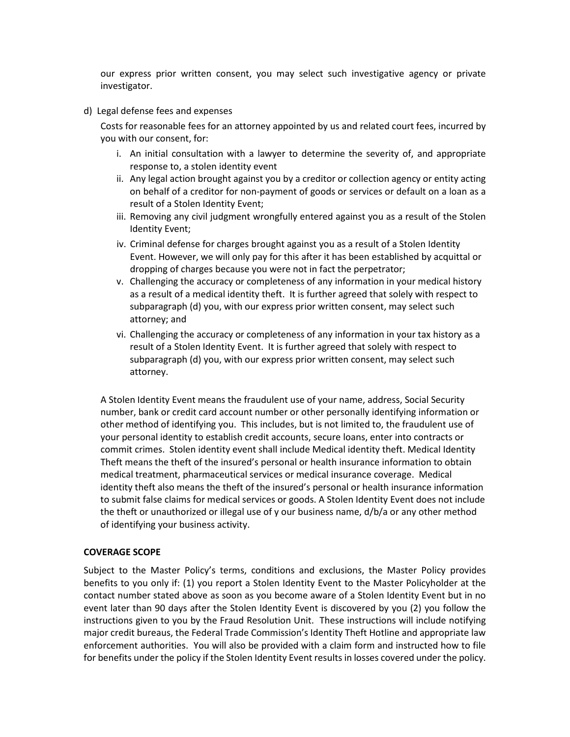our express prior written consent, you may select such investigative agency or private investigator.

d) Legal defense fees and expenses

Costs for reasonable fees for an attorney appointed by us and related court fees, incurred by you with our consent, for:

- i. An initial consultation with a lawyer to determine the severity of, and appropriate response to, a stolen identity event
- ii. Any legal action brought against you by a creditor or collection agency or entity acting on behalf of a creditor for non-payment of goods or services or default on a loan as a result of a Stolen Identity Event;
- iii. Removing any civil judgment wrongfully entered against you as a result of the Stolen Identity Event;
- iv. Criminal defense for charges brought against you as a result of a Stolen Identity Event. However, we will only pay for this after it has been established by acquittal or dropping of charges because you were not in fact the perpetrator;
- v. Challenging the accuracy or completeness of any information in your medical history as a result of a medical identity theft. It is further agreed that solely with respect to subparagraph (d) you, with our express prior written consent, may select such attorney; and
- vi. Challenging the accuracy or completeness of any information in your tax history as a result of a Stolen Identity Event. It is further agreed that solely with respect to subparagraph (d) you, with our express prior written consent, may select such attorney.

A Stolen Identity Event means the fraudulent use of your name, address, Social Security number, bank or credit card account number or other personally identifying information or other method of identifying you. This includes, but is not limited to, the fraudulent use of your personal identity to establish credit accounts, secure loans, enter into contracts or commit crimes. Stolen identity event shall include Medical identity theft. Medical Identity Theft means the theft of the insured's personal or health insurance information to obtain medical treatment, pharmaceutical services or medical insurance coverage. Medical identity theft also means the theft of the insured's personal or health insurance information to submit false claims for medical services or goods. A Stolen Identity Event does not include the theft or unauthorized or illegal use of y our business name, d/b/a or any other method of identifying your business activity.

#### **COVERAGE SCOPE**

Subject to the Master Policy's terms, conditions and exclusions, the Master Policy provides benefits to you only if: (1) you report a Stolen Identity Event to the Master Policyholder at the contact number stated above as soon as you become aware of a Stolen Identity Event but in no event later than 90 days after the Stolen Identity Event is discovered by you (2) you follow the instructions given to you by the Fraud Resolution Unit. These instructions will include notifying major credit bureaus, the Federal Trade Commission's Identity Theft Hotline and appropriate law enforcement authorities. You will also be provided with a claim form and instructed how to file for benefits under the policy if the Stolen Identity Event results in losses covered under the policy.